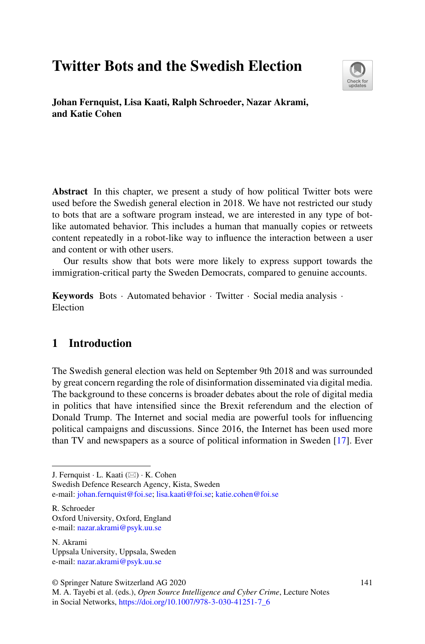# **Twitter Bots and the Swedish Election**



**Johan Fernquist, Lisa Kaati, Ralph Schroeder, Nazar Akrami, and Katie Cohen**

**Abstract** In this chapter, we present a study of how political Twitter bots were used before the Swedish general election in 2018. We have not restricted our study to bots that are a software program instead, we are interested in any type of botlike automated behavior. This includes a human that manually copies or retweets content repeatedly in a robot-like way to influence the interaction between a user and content or with other users.

Our results show that bots were more likely to express support towards the immigration-critical party the Sweden Democrats, compared to genuine accounts.

**Keywords** Bots · Automated behavior · Twitter · Social media analysis · Election

# **1 Introduction**

The Swedish general election was held on September 9th 2018 and was surrounded by great concern regarding the role of disinformation disseminated via digital media. The background to these concerns is broader debates about the role of digital media in politics that have intensified since the Brexit referendum and the election of Donald Trump. The Internet and social media are powerful tools for influencing political campaigns and discussions. Since 2016, the Internet has been used more than TV and newspapers as a source of political information in Sweden [17]. Ever

J. Fernquist · L. Kaati ( $\boxtimes$ ) · K. Cohen

Swedish Defence Research Agency, Kista, Sweden e-mail: [johan.fernquist@foi.se;](mailto:johan.fernquist@foi.se) [lisa.kaati@foi.se;](mailto:lisa.kaati@foi.se) [katie.cohen@foi.se](mailto:katie.cohen@foi.se)

R. Schroeder Oxford University, Oxford, England e-mail: [nazar.akrami@psyk.uu.se](mailto:nazar.akrami@psyk.uu.se)

N. Akrami Uppsala University, Uppsala, Sweden e-mail: [nazar.akrami@psyk.uu.se](mailto:nazar.akrami@psyk.uu.se)

© Springer Nature Switzerland AG 2020

M. A. Tayebi et al. (eds.), *Open Source Intelligence and Cyber Crime*, Lecture Notes in Social Networks, [https://doi.org/10.1007/978-3-030-41251-7\\_6](https://doi.org/10.1007/978-3-030-41251-7_6)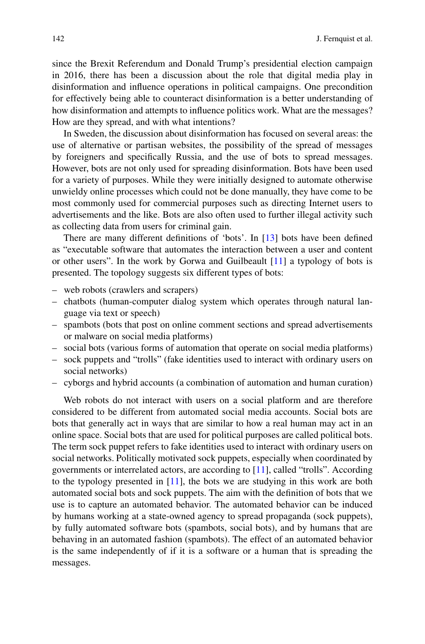since the Brexit Referendum and Donald Trump's presidential election campaign in 2016, there has been a discussion about the role that digital media play in disinformation and influence operations in political campaigns. One precondition for effectively being able to counteract disinformation is a better understanding of how disinformation and attempts to influence politics work. What are the messages? How are they spread, and with what intentions?

In Sweden, the discussion about disinformation has focused on several areas: the use of alternative or partisan websites, the possibility of the spread of messages by foreigners and specifically Russia, and the use of bots to spread messages. However, bots are not only used for spreading disinformation. Bots have been used for a variety of purposes. While they were initially designed to automate otherwise unwieldy online processes which could not be done manually, they have come to be most commonly used for commercial purposes such as directing Internet users to advertisements and the like. Bots are also often used to further illegal activity such as collecting data from users for criminal gain.

There are many different definitions of 'bots'. In [13] bots have been defined as "executable software that automates the interaction between a user and content or other users". In the work by Gorwa and Guilbeault [11] a typology of bots is presented. The topology suggests six different types of bots:

- web robots (crawlers and scrapers)
- chatbots (human-computer dialog system which operates through natural language via text or speech)
- spambots (bots that post on online comment sections and spread advertisements or malware on social media platforms)
- social bots (various forms of automation that operate on social media platforms)
- sock puppets and "trolls" (fake identities used to interact with ordinary users on social networks)
- cyborgs and hybrid accounts (a combination of automation and human curation)

Web robots do not interact with users on a social platform and are therefore considered to be different from automated social media accounts. Social bots are bots that generally act in ways that are similar to how a real human may act in an online space. Social bots that are used for political purposes are called political bots. The term sock puppet refers to fake identities used to interact with ordinary users on social networks. Politically motivated sock puppets, especially when coordinated by governments or interrelated actors, are according to [11], called "trolls". According to the typology presented in [11], the bots we are studying in this work are both automated social bots and sock puppets. The aim with the definition of bots that we use is to capture an automated behavior. The automated behavior can be induced by humans working at a state-owned agency to spread propaganda (sock puppets), by fully automated software bots (spambots, social bots), and by humans that are behaving in an automated fashion (spambots). The effect of an automated behavior is the same independently of if it is a software or a human that is spreading the messages.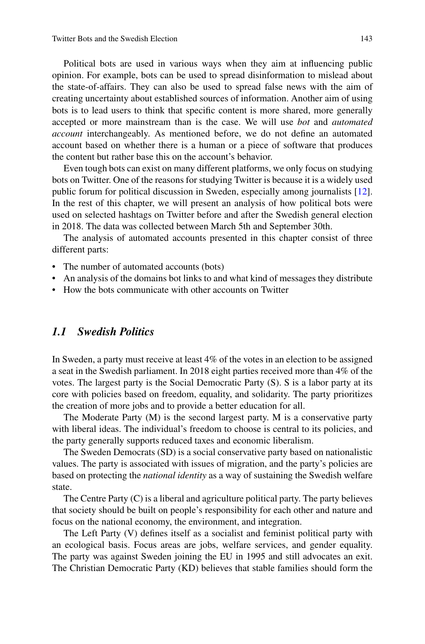Political bots are used in various ways when they aim at influencing public opinion. For example, bots can be used to spread disinformation to mislead about the state-of-affairs. They can also be used to spread false news with the aim of creating uncertainty about established sources of information. Another aim of using bots is to lead users to think that specific content is more shared, more generally accepted or more mainstream than is the case. We will use *bot* and *automated account* interchangeably. As mentioned before, we do not define an automated account based on whether there is a human or a piece of software that produces the content but rather base this on the account's behavior.

Even tough bots can exist on many different platforms, we only focus on studying bots on Twitter. One of the reasons for studying Twitter is because it is a widely used public forum for political discussion in Sweden, especially among journalists [12]. In the rest of this chapter, we will present an analysis of how political bots were used on selected hashtags on Twitter before and after the Swedish general election in 2018. The data was collected between March 5th and September 30th.

The analysis of automated accounts presented in this chapter consist of three different parts:

- The number of automated accounts (bots)
- An analysis of the domains bot links to and what kind of messages they distribute
- How the bots communicate with other accounts on Twitter

## *1.1 Swedish Politics*

In Sweden, a party must receive at least 4% of the votes in an election to be assigned a seat in the Swedish parliament. In 2018 eight parties received more than 4% of the votes. The largest party is the Social Democratic Party (S). S is a labor party at its core with policies based on freedom, equality, and solidarity. The party prioritizes the creation of more jobs and to provide a better education for all.

The Moderate Party (M) is the second largest party. M is a conservative party with liberal ideas. The individual's freedom to choose is central to its policies, and the party generally supports reduced taxes and economic liberalism.

The Sweden Democrats (SD) is a social conservative party based on nationalistic values. The party is associated with issues of migration, and the party's policies are based on protecting the *national identity* as a way of sustaining the Swedish welfare state.

The Centre Party (C) is a liberal and agriculture political party. The party believes that society should be built on people's responsibility for each other and nature and focus on the national economy, the environment, and integration.

The Left Party (V) defines itself as a socialist and feminist political party with an ecological basis. Focus areas are jobs, welfare services, and gender equality. The party was against Sweden joining the EU in 1995 and still advocates an exit. The Christian Democratic Party (KD) believes that stable families should form the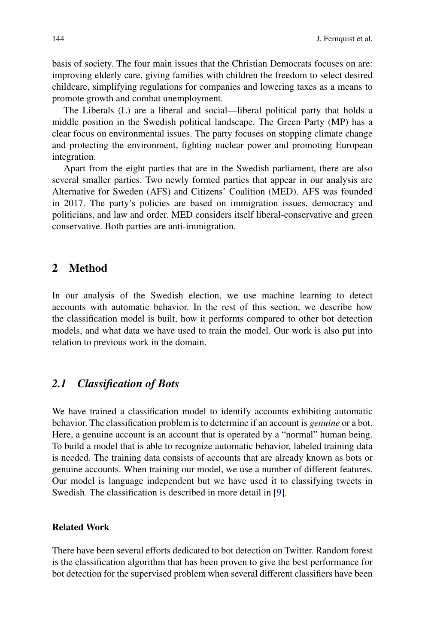basis of society. The four main issues that the Christian Democrats focuses on are: improving elderly care, giving families with children the freedom to select desired childcare, simplifying regulations for companies and lowering taxes as a means to promote growth and combat unemployment.

The Liberals (L) are a liberal and social—liberal political party that holds a middle position in the Swedish political landscape. The Green Party (MP) has a clear focus on environmental issues. The party focuses on stopping climate change and protecting the environment, fighting nuclear power and promoting European integration.

Apart from the eight parties that are in the Swedish parliament, there are also several smaller parties. Two newly formed parties that appear in our analysis are Alternative for Sweden (AFS) and Citizens' Coalition (MED). AFS was founded in 2017. The party's policies are based on immigration issues, democracy and politicians, and law and order. MED considers itself liberal-conservative and green conservative. Both parties are anti-immigration.

## **2 Method**

In our analysis of the Swedish election, we use machine learning to detect accounts with automatic behavior. In the rest of this section, we describe how the classification model is built, how it performs compared to other bot detection models, and what data we have used to train the model. Our work is also put into relation to previous work in the domain.

## *2.1 Classification of Bots*

We have trained a classification model to identify accounts exhibiting automatic behavior. The classification problem is to determine if an account is *genuine* or a bot. Here, a genuine account is an account that is operated by a "normal" human being. To build a model that is able to recognize automatic behavior, labeled training data is needed. The training data consists of accounts that are already known as bots or genuine accounts. When training our model, we use a number of different features. Our model is language independent but we have used it to classifying tweets in Swedish. The classification is described in more detail in [9].

#### **Related Work**

There have been several efforts dedicated to bot detection on Twitter. Random forest is the classification algorithm that has been proven to give the best performance for bot detection for the supervised problem when several different classifiers have been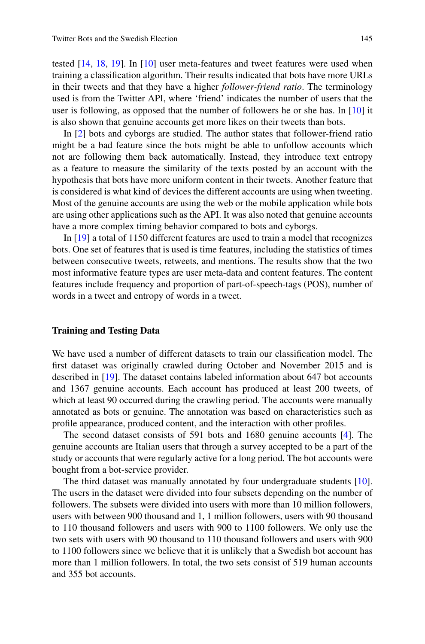tested [14, 18, 19]. In [10] user meta-features and tweet features were used when training a classification algorithm. Their results indicated that bots have more URLs in their tweets and that they have a higher *follower-friend ratio*. The terminology used is from the Twitter API, where 'friend' indicates the number of users that the user is following, as opposed that the number of followers he or she has. In [10] it is also shown that genuine accounts get more likes on their tweets than bots.

In [2] bots and cyborgs are studied. The author states that follower-friend ratio might be a bad feature since the bots might be able to unfollow accounts which not are following them back automatically. Instead, they introduce text entropy as a feature to measure the similarity of the texts posted by an account with the hypothesis that bots have more uniform content in their tweets. Another feature that is considered is what kind of devices the different accounts are using when tweeting. Most of the genuine accounts are using the web or the mobile application while bots are using other applications such as the API. It was also noted that genuine accounts have a more complex timing behavior compared to bots and cyborgs.

In [19] a total of 1150 different features are used to train a model that recognizes bots. One set of features that is used is time features, including the statistics of times between consecutive tweets, retweets, and mentions. The results show that the two most informative feature types are user meta-data and content features. The content features include frequency and proportion of part-of-speech-tags (POS), number of words in a tweet and entropy of words in a tweet.

#### **Training and Testing Data**

We have used a number of different datasets to train our classification model. The first dataset was originally crawled during October and November 2015 and is described in [19]. The dataset contains labeled information about 647 bot accounts and 1367 genuine accounts. Each account has produced at least 200 tweets, of which at least 90 occurred during the crawling period. The accounts were manually annotated as bots or genuine. The annotation was based on characteristics such as profile appearance, produced content, and the interaction with other profiles.

The second dataset consists of 591 bots and 1680 genuine accounts [4]. The genuine accounts are Italian users that through a survey accepted to be a part of the study or accounts that were regularly active for a long period. The bot accounts were bought from a bot-service provider.

The third dataset was manually annotated by four undergraduate students [10]. The users in the dataset were divided into four subsets depending on the number of followers. The subsets were divided into users with more than 10 million followers, users with between 900 thousand and 1, 1 million followers, users with 90 thousand to 110 thousand followers and users with 900 to 1100 followers. We only use the two sets with users with 90 thousand to 110 thousand followers and users with 900 to 1100 followers since we believe that it is unlikely that a Swedish bot account has more than 1 million followers. In total, the two sets consist of 519 human accounts and 355 bot accounts.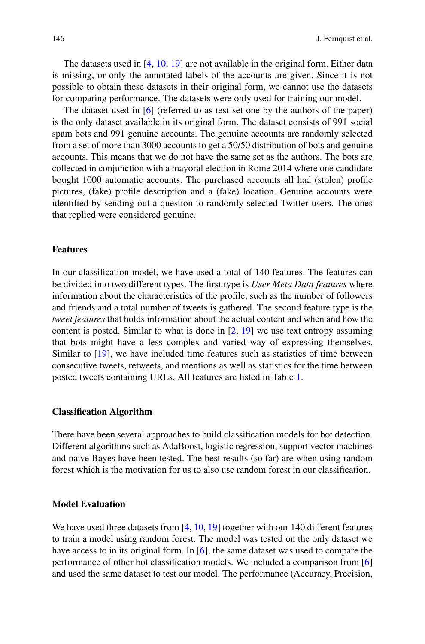The datasets used in [4, 10, 19] are not available in the original form. Either data is missing, or only the annotated labels of the accounts are given. Since it is not possible to obtain these datasets in their original form, we cannot use the datasets for comparing performance. The datasets were only used for training our model.

The dataset used in [6] (referred to as test set one by the authors of the paper) is the only dataset available in its original form. The dataset consists of 991 social spam bots and 991 genuine accounts. The genuine accounts are randomly selected from a set of more than 3000 accounts to get a 50/50 distribution of bots and genuine accounts. This means that we do not have the same set as the authors. The bots are collected in conjunction with a mayoral election in Rome 2014 where one candidate bought 1000 automatic accounts. The purchased accounts all had (stolen) profile pictures, (fake) profile description and a (fake) location. Genuine accounts were identified by sending out a question to randomly selected Twitter users. The ones that replied were considered genuine.

#### **Features**

In our classification model, we have used a total of 140 features. The features can be divided into two different types. The first type is *User Meta Data features* where information about the characteristics of the profile, such as the number of followers and friends and a total number of tweets is gathered. The second feature type is the *tweet features* that holds information about the actual content and when and how the content is posted. Similar to what is done in  $[2, 19]$  we use text entropy assuming that bots might have a less complex and varied way of expressing themselves. Similar to [19], we have included time features such as statistics of time between consecutive tweets, retweets, and mentions as well as statistics for the time between posted tweets containing URLs. All features are listed in Table 1.

#### **Classification Algorithm**

There have been several approaches to build classification models for bot detection. Different algorithms such as AdaBoost, logistic regression, support vector machines and naive Bayes have been tested. The best results (so far) are when using random forest which is the motivation for us to also use random forest in our classification.

#### **Model Evaluation**

We have used three datasets from [4, 10, 19] together with our 140 different features to train a model using random forest. The model was tested on the only dataset we have access to in its original form. In [6], the same dataset was used to compare the performance of other bot classification models. We included a comparison from [6] and used the same dataset to test our model. The performance (Accuracy, Precision,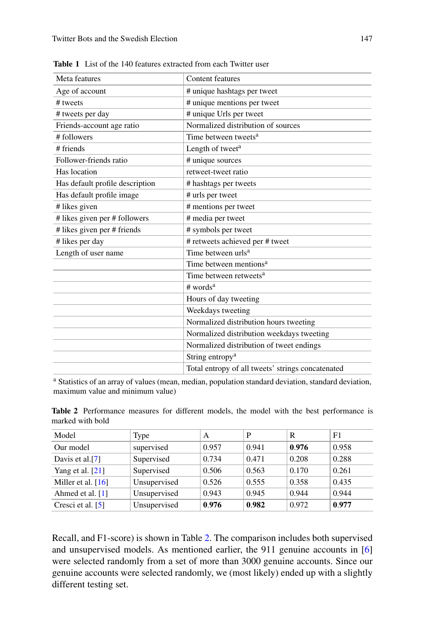| Meta features                   | Content features                                  |
|---------------------------------|---------------------------------------------------|
| Age of account                  | # unique hashtags per tweet                       |
| # tweets                        | # unique mentions per tweet                       |
| # tweets per day                | # unique Urls per tweet                           |
| Friends-account age ratio       | Normalized distribution of sources                |
| #followers                      | Time between tweets <sup>a</sup>                  |
| # friends                       | Length of tweet <sup>a</sup>                      |
| Follower-friends ratio          | # unique sources                                  |
| Has location                    | retweet-tweet ratio                               |
| Has default profile description | # hashtags per tweets                             |
| Has default profile image       | # urls per tweet                                  |
| # likes given                   | # mentions per tweet                              |
| # likes given per # followers   | # media per tweet                                 |
| # likes given per # friends     | # symbols per tweet                               |
| # likes per day                 | # retweets achieved per # tweet                   |
| Length of user name             | Time between urls <sup>a</sup>                    |
|                                 | Time between mentions <sup>a</sup>                |
|                                 | Time between retweets <sup>a</sup>                |
|                                 | # words $a$                                       |
|                                 | Hours of day tweeting                             |
|                                 | Weekdays tweeting                                 |
|                                 | Normalized distribution hours tweeting            |
|                                 | Normalized distribution weekdays tweeting         |
|                                 | Normalized distribution of tweet endings          |
|                                 | String entropy <sup>a</sup>                       |
|                                 | Total entropy of all tweets' strings concatenated |

**Table 1** List of the 140 features extracted from each Twitter user

<sup>a</sup> Statistics of an array of values (mean, median, population standard deviation, standard deviation, maximum value and minimum value)

| <b>Table 2</b> Performance measures for different models, the model with the best performance is |  |  |  |  |  |  |
|--------------------------------------------------------------------------------------------------|--|--|--|--|--|--|
| marked with bold                                                                                 |  |  |  |  |  |  |

| Model                | Type         | A     | P     | R     | F1    |
|----------------------|--------------|-------|-------|-------|-------|
| Our model            | supervised   | 0.957 | 0.941 | 0.976 | 0.958 |
| Davis et al. $[7]$   | Supervised   | 0.734 | 0.471 | 0.208 | 0.288 |
| Yang et al. $[21]$   | Supervised   | 0.506 | 0.563 | 0.170 | 0.261 |
| Miller et al. $[16]$ | Unsupervised | 0.526 | 0.555 | 0.358 | 0.435 |
| Ahmed et al. [1]     | Unsupervised | 0.943 | 0.945 | 0.944 | 0.944 |
| Cresci et al. [5]    | Unsupervised | 0.976 | 0.982 | 0.972 | 0.977 |

Recall, and F1-score) is shown in Table 2. The comparison includes both supervised and unsupervised models. As mentioned earlier, the 911 genuine accounts in [6] were selected randomly from a set of more than 3000 genuine accounts. Since our genuine accounts were selected randomly, we (most likely) ended up with a slightly different testing set.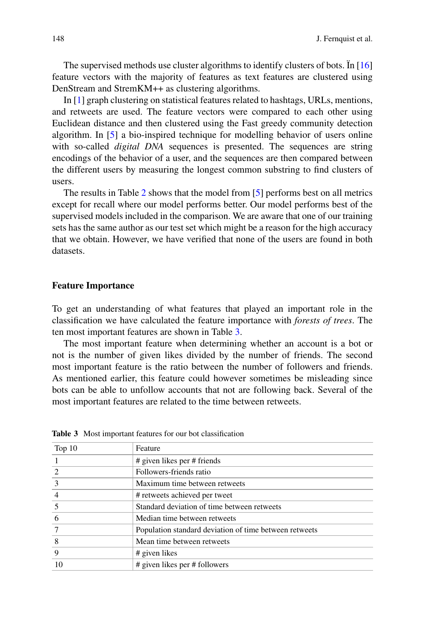The supervised methods use cluster algorithms to identify clusters of bots. Ïn [16] feature vectors with the majority of features as text features are clustered using DenStream and StremKM++ as clustering algorithms.

In [1] graph clustering on statistical features related to hashtags, URLs, mentions, and retweets are used. The feature vectors were compared to each other using Euclidean distance and then clustered using the Fast greedy community detection algorithm. In [5] a bio-inspired technique for modelling behavior of users online with so-called *digital DNA* sequences is presented. The sequences are string encodings of the behavior of a user, and the sequences are then compared between the different users by measuring the longest common substring to find clusters of users.

The results in Table 2 shows that the model from [5] performs best on all metrics except for recall where our model performs better. Our model performs best of the supervised models included in the comparison. We are aware that one of our training sets has the same author as our test set which might be a reason for the high accuracy that we obtain. However, we have verified that none of the users are found in both datasets.

#### **Feature Importance**

To get an understanding of what features that played an important role in the classification we have calculated the feature importance with *forests of trees*. The ten most important features are shown in Table 3.

The most important feature when determining whether an account is a bot or not is the number of given likes divided by the number of friends. The second most important feature is the ratio between the number of followers and friends. As mentioned earlier, this feature could however sometimes be misleading since bots can be able to unfollow accounts that not are following back. Several of the most important features are related to the time between retweets.

| Top $10$       | Feature                                                |
|----------------|--------------------------------------------------------|
|                | # given likes per # friends                            |
| $\overline{2}$ | Followers-friends ratio                                |
| 3              | Maximum time between retweets                          |
| $\overline{4}$ | # retweets achieved per tweet                          |
| -5             | Standard deviation of time between retweets            |
| 6              | Median time between retweets                           |
|                | Population standard deviation of time between retweets |
| -8             | Mean time between retweets                             |
| 9              | # given likes                                          |
| 10             | # given likes per # followers                          |

**Table 3** Most important features for our bot classification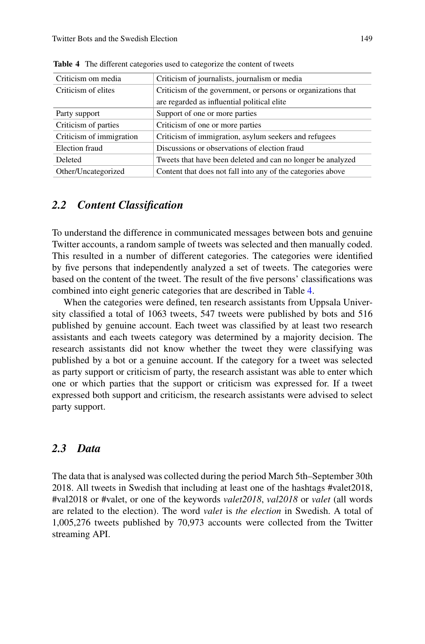| Criticism om media       | Criticism of journalists, journalism or media                 |  |
|--------------------------|---------------------------------------------------------------|--|
| Criticism of elites      | Criticism of the government, or persons or organizations that |  |
|                          | are regarded as influential political elite                   |  |
| Party support            | Support of one or more parties                                |  |
| Criticism of parties     | Criticism of one or more parties                              |  |
| Criticism of immigration | Criticism of immigration, asylum seekers and refugees         |  |
| Election fraud           | Discussions or observations of election fraud                 |  |
| Deleted                  | Tweets that have been deleted and can no longer be analyzed   |  |
| Other/Uncategorized      | Content that does not fall into any of the categories above   |  |

Table 4 The different categories used to categorize the content of tweets

## *2.2 Content Classification*

To understand the difference in communicated messages between bots and genuine Twitter accounts, a random sample of tweets was selected and then manually coded. This resulted in a number of different categories. The categories were identified by five persons that independently analyzed a set of tweets. The categories were based on the content of the tweet. The result of the five persons' classifications was combined into eight generic categories that are described in Table 4.

When the categories were defined, ten research assistants from Uppsala University classified a total of 1063 tweets, 547 tweets were published by bots and 516 published by genuine account. Each tweet was classified by at least two research assistants and each tweets category was determined by a majority decision. The research assistants did not know whether the tweet they were classifying was published by a bot or a genuine account. If the category for a tweet was selected as party support or criticism of party, the research assistant was able to enter which one or which parties that the support or criticism was expressed for. If a tweet expressed both support and criticism, the research assistants were advised to select party support.

## *2.3 Data*

The data that is analysed was collected during the period March 5th–September 30th 2018. All tweets in Swedish that including at least one of the hashtags #valet2018, #val2018 or #valet, or one of the keywords *valet2018*, *val2018* or *valet* (all words are related to the election). The word *valet* is *the election* in Swedish. A total of 1,005,276 tweets published by 70,973 accounts were collected from the Twitter streaming API.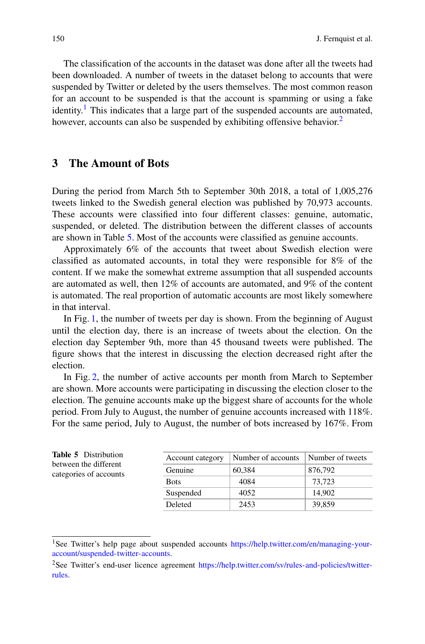The classification of the accounts in the dataset was done after all the tweets had been downloaded. A number of tweets in the dataset belong to accounts that were suspended by Twitter or deleted by the users themselves. The most common reason for an account to be suspended is that the account is spamming or using a fake identity.<sup>1</sup> This indicates that a large part of the suspended accounts are automated, however, accounts can also be suspended by exhibiting offensive behavior.<sup>2</sup>

#### **3 The Amount of Bots**

During the period from March 5th to September 30th 2018, a total of 1,005,276 tweets linked to the Swedish general election was published by 70,973 accounts. These accounts were classified into four different classes: genuine, automatic, suspended, or deleted. The distribution between the different classes of accounts are shown in Table 5. Most of the accounts were classified as genuine accounts.

Approximately 6% of the accounts that tweet about Swedish election were classified as automated accounts, in total they were responsible for 8% of the content. If we make the somewhat extreme assumption that all suspended accounts are automated as well, then 12% of accounts are automated, and 9% of the content is automated. The real proportion of automatic accounts are most likely somewhere in that interval.

In Fig. 1, the number of tweets per day is shown. From the beginning of August until the election day, there is an increase of tweets about the election. On the election day September 9th, more than 45 thousand tweets were published. The figure shows that the interest in discussing the election decreased right after the election.

In Fig. 2, the number of active accounts per month from March to September are shown. More accounts were participating in discussing the election closer to the election. The genuine accounts make up the biggest share of accounts for the whole period. From July to August, the number of genuine accounts increased with 118%. For the same period, July to August, the number of bots increased by 167%. From

| Account category | Number of accounts | Number of tweets |  |  |  |
|------------------|--------------------|------------------|--|--|--|
| Genuine          | 60.384             | 876,792          |  |  |  |
| <b>Bots</b>      | 4084               | 73.723           |  |  |  |
| Suspended        | 4052               | 14.902           |  |  |  |
| Deleted          | 2453               | 39,859           |  |  |  |
|                  |                    |                  |  |  |  |

<sup>&</sup>lt;sup>1</sup>See Twitter's help page about suspended accounts [https://help.twitter.com/en/managing-your](https://help.twitter.com/en/managing-your-account/suspended-twitter-accounts)[account/suspended-twitter-accounts.](https://help.twitter.com/en/managing-your-account/suspended-twitter-accounts)

<sup>&</sup>lt;sup>2</sup>See Twitter's end-user licence agreement [https://help.twitter.com/sv/rules-and-policies/twitter](https://help.twitter.com/sv/rules-and-policies/twitter-rules)[rules.](https://help.twitter.com/sv/rules-and-policies/twitter-rules)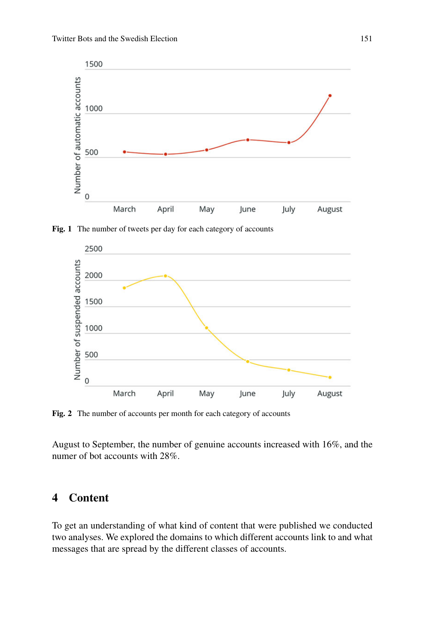

Fig. 1 The number of tweets per day for each category of accounts



**Fig. 2** The number of accounts per month for each category of accounts

August to September, the number of genuine accounts increased with 16%, and the numer of bot accounts with 28%.

## **4 Content**

To get an understanding of what kind of content that were published we conducted two analyses. We explored the domains to which different accounts link to and what messages that are spread by the different classes of accounts.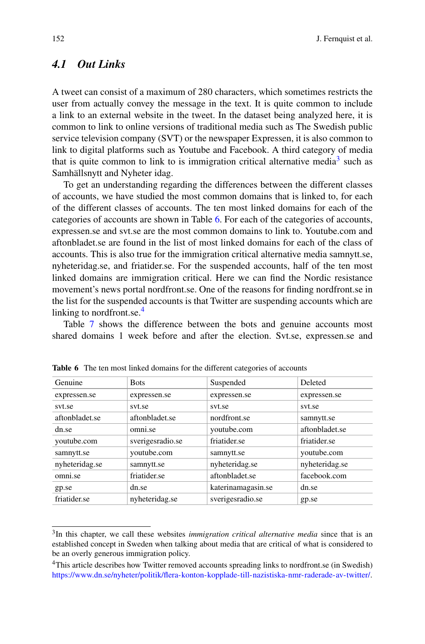## *4.1 Out Links*

A tweet can consist of a maximum of 280 characters, which sometimes restricts the user from actually convey the message in the text. It is quite common to include a link to an external website in the tweet. In the dataset being analyzed here, it is common to link to online versions of traditional media such as The Swedish public service television company (SVT) or the newspaper Expressen, it is also common to link to digital platforms such as Youtube and Facebook. A third category of media that is quite common to link to is immigration critical alternative media<sup>3</sup> such as Samhällsnytt and Nyheter idag.

To get an understanding regarding the differences between the different classes of accounts, we have studied the most common domains that is linked to, for each of the different classes of accounts. The ten most linked domains for each of the categories of accounts are shown in Table 6. For each of the categories of accounts, expressen.se and svt.se are the most common domains to link to. Youtube.com and aftonbladet.se are found in the list of most linked domains for each of the class of accounts. This is also true for the immigration critical alternative media samnytt.se, nyheteridag.se, and friatider.se. For the suspended accounts, half of the ten most linked domains are immigration critical. Here we can find the Nordic resistance movement's news portal nordfront.se. One of the reasons for finding nordfront.se in the list for the suspended accounts is that Twitter are suspending accounts which are linking to nordfront.se.<sup>4</sup>

Table 7 shows the difference between the bots and genuine accounts most shared domains 1 week before and after the election. Svt.se, expressen.se and

| Genuine        | <b>Bots</b>      | Suspended          | Deleted        |
|----------------|------------------|--------------------|----------------|
| expressen.se   | expressen.se     | expressen.se       | expressen.se   |
| svt.se         | svt.se           | svt.se             | svt.se         |
| aftonbladet.se | aftonbladet.se   | nordfront.se       | samnytt.se     |
| dn.se          | omni.se          | youtube.com        | aftonbladet.se |
| voutube.com    | sverigesradio.se | friatider.se       | friatider.se   |
| samnytt.se     | youtube.com      | samnytt.se         | youtube.com    |
| nyheteridag.se | samnytt.se       | nyheteridag.se     | nyheteridag.se |
| omni.se        | friatider.se     | aftonbladet.se     | facebook.com   |
| gp.se          | dn.se            | katerinamagasin.se | dn.se          |
| friatider.se   | nyheteridag.se   | sverigesradio.se   | gp.se          |

Table 6 The ten most linked domains for the different categories of accounts

<sup>3</sup>In this chapter, we call these websites *immigration critical alternative media* since that is an established concept in Sweden when talking about media that are critical of what is considered to be an overly generous immigration policy.

<sup>&</sup>lt;sup>4</sup>This article describes how Twitter removed accounts spreading links to nordfront.se (in Swedish) [https://www.dn.se/nyheter/politik/flera-konton-kopplade-till-nazistiska-nmr-raderade-av-twitter/.](https://www.dn.se/nyheter/politik/flera-konton-kopplade-till-nazistiska-nmr-raderade-av-twitter/)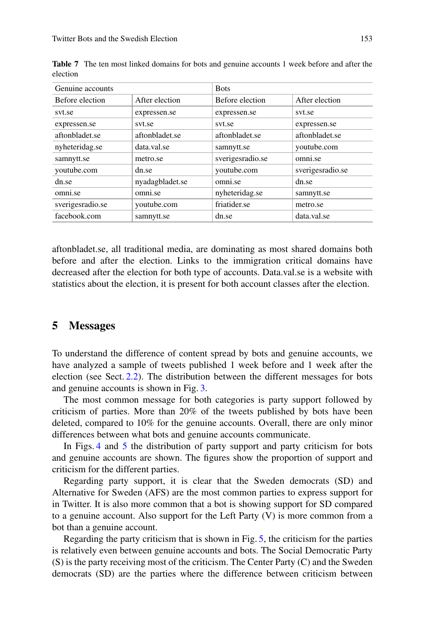| Genuine accounts |                 | <b>Bots</b>      |                  |  |  |
|------------------|-----------------|------------------|------------------|--|--|
| Before election  | After election  | Before election  | After election   |  |  |
| svt.se           | expressen.se    | expressen.se     | svt.se           |  |  |
| expressen.se     | svt.se          | svt.se           | expressen.se     |  |  |
| aftonbladet.se   | aftonbladet.se  | aftonbladet.se   | aftonbladet.se   |  |  |
| nyheteridag.se   | data.val.se     | samnytt.se       | youtube.com      |  |  |
| samnytt.se       | metro.se        | sverigesradio.se | omni.se          |  |  |
| youtube.com      | dn.se           | youtube.com      | sverigesradio.se |  |  |
| dn.se            | nyadagbladet.se | omni.se          | dn.se            |  |  |
| omni.se          | omni.se         | nyheteridag.se   | samnytt.se       |  |  |
| sverigesradio.se | youtube.com     | friatider.se     | metro.se         |  |  |
| facebook.com     | samnytt.se      | dn.se            | data.val.se      |  |  |

**Table 7** The ten most linked domains for bots and genuine accounts 1 week before and after the election

aftonbladet.se, all traditional media, are dominating as most shared domains both before and after the election. Links to the immigration critical domains have decreased after the election for both type of accounts. Data.val.se is a website with statistics about the election, it is present for both account classes after the election.

#### **5 Messages**

To understand the difference of content spread by bots and genuine accounts, we have analyzed a sample of tweets published 1 week before and 1 week after the election (see Sect. 2.2). The distribution between the different messages for bots and genuine accounts is shown in Fig. 3.

The most common message for both categories is party support followed by criticism of parties. More than 20% of the tweets published by bots have been deleted, compared to 10% for the genuine accounts. Overall, there are only minor differences between what bots and genuine accounts communicate.

In Figs. 4 and 5 the distribution of party support and party criticism for bots and genuine accounts are shown. The figures show the proportion of support and criticism for the different parties.

Regarding party support, it is clear that the Sweden democrats (SD) and Alternative for Sweden (AFS) are the most common parties to express support for in Twitter. It is also more common that a bot is showing support for SD compared to a genuine account. Also support for the Left Party (V) is more common from a bot than a genuine account.

Regarding the party criticism that is shown in Fig. 5, the criticism for the parties is relatively even between genuine accounts and bots. The Social Democratic Party (S) is the party receiving most of the criticism. The Center Party (C) and the Sweden democrats (SD) are the parties where the difference between criticism between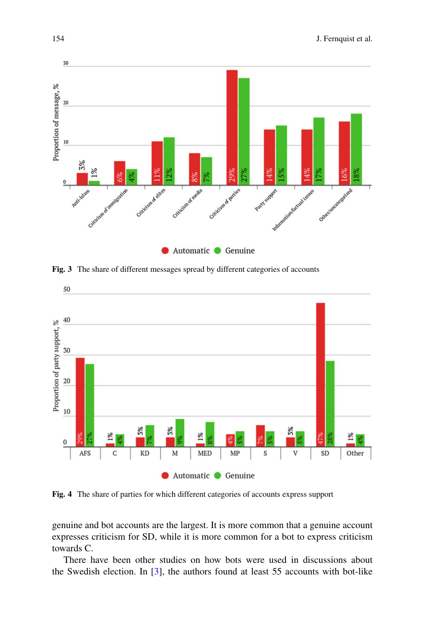

**Fig. 3** The share of different messages spread by different categories of accounts



**Fig. 4** The share of parties for which different categories of accounts express support

genuine and bot accounts are the largest. It is more common that a genuine account expresses criticism for SD, while it is more common for a bot to express criticism towards C.

There have been other studies on how bots were used in discussions about the Swedish election. In [3], the authors found at least 55 accounts with bot-like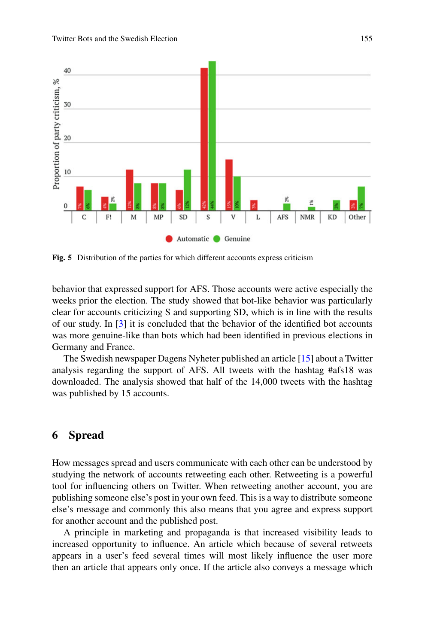

**Fig. 5** Distribution of the parties for which different accounts express criticism

behavior that expressed support for AFS. Those accounts were active especially the weeks prior the election. The study showed that bot-like behavior was particularly clear for accounts criticizing S and supporting SD, which is in line with the results of our study. In [3] it is concluded that the behavior of the identified bot accounts was more genuine-like than bots which had been identified in previous elections in Germany and France.

The Swedish newspaper Dagens Nyheter published an article [15] about a Twitter analysis regarding the support of AFS. All tweets with the hashtag #afs18 was downloaded. The analysis showed that half of the 14,000 tweets with the hashtag was published by 15 accounts.

#### **6 Spread**

How messages spread and users communicate with each other can be understood by studying the network of accounts retweeting each other. Retweeting is a powerful tool for influencing others on Twitter. When retweeting another account, you are publishing someone else's post in your own feed. This is a way to distribute someone else's message and commonly this also means that you agree and express support for another account and the published post.

A principle in marketing and propaganda is that increased visibility leads to increased opportunity to influence. An article which because of several retweets appears in a user's feed several times will most likely influence the user more then an article that appears only once. If the article also conveys a message which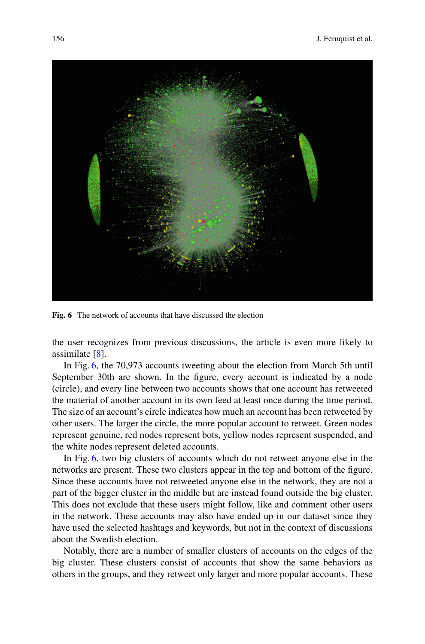

**Fig. 6** The network of accounts that have discussed the election

the user recognizes from previous discussions, the article is even more likely to assimilate [8].

In Fig. 6, the 70,973 accounts tweeting about the election from March 5th until September 30th are shown. In the figure, every account is indicated by a node (circle), and every line between two accounts shows that one account has retweeted the material of another account in its own feed at least once during the time period. The size of an account's circle indicates how much an account has been retweeted by other users. The larger the circle, the more popular account to retweet. Green nodes represent genuine, red nodes represent bots, yellow nodes represent suspended, and the white nodes represent deleted accounts.

In Fig. 6, two big clusters of accounts which do not retweet anyone else in the networks are present. These two clusters appear in the top and bottom of the figure. Since these accounts have not retweeted anyone else in the network, they are not a part of the bigger cluster in the middle but are instead found outside the big cluster. This does not exclude that these users might follow, like and comment other users in the network. These accounts may also have ended up in our dataset since they have used the selected hashtags and keywords, but not in the context of discussions about the Swedish election.

Notably, there are a number of smaller clusters of accounts on the edges of the big cluster. These clusters consist of accounts that show the same behaviors as others in the groups, and they retweet only larger and more popular accounts. These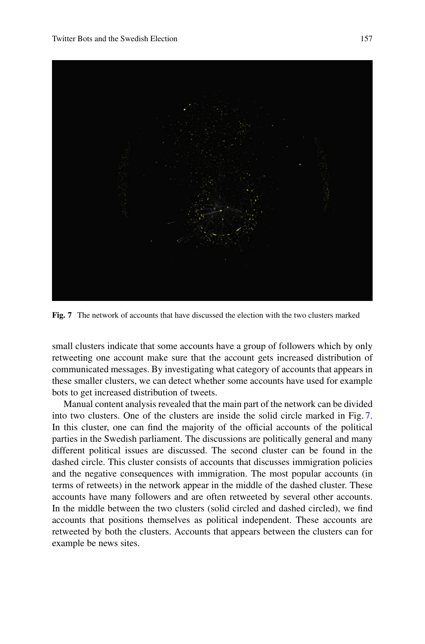

**Fig. 7** The network of accounts that have discussed the election with the two clusters marked

small clusters indicate that some accounts have a group of followers which by only retweeting one account make sure that the account gets increased distribution of communicated messages. By investigating what category of accounts that appears in these smaller clusters, we can detect whether some accounts have used for example bots to get increased distribution of tweets.

Manual content analysis revealed that the main part of the network can be divided into two clusters. One of the clusters are inside the solid circle marked in Fig. 7. In this cluster, one can find the majority of the official accounts of the political parties in the Swedish parliament. The discussions are politically general and many different political issues are discussed. The second cluster can be found in the dashed circle. This cluster consists of accounts that discusses immigration policies and the negative consequences with immigration. The most popular accounts (in terms of retweets) in the network appear in the middle of the dashed cluster. These accounts have many followers and are often retweeted by several other accounts. In the middle between the two clusters (solid circled and dashed circled), we find accounts that positions themselves as political independent. These accounts are retweeted by both the clusters. Accounts that appears between the clusters can for example be news sites.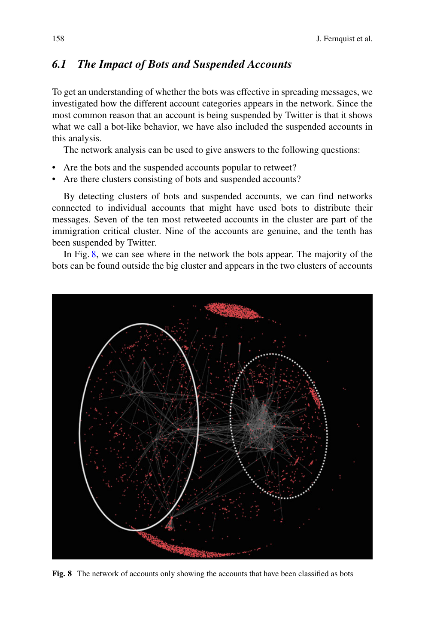# *6.1 The Impact of Bots and Suspended Accounts*

To get an understanding of whether the bots was effective in spreading messages, we investigated how the different account categories appears in the network. Since the most common reason that an account is being suspended by Twitter is that it shows what we call a bot-like behavior, we have also included the suspended accounts in this analysis.

The network analysis can be used to give answers to the following questions:

- Are the bots and the suspended accounts popular to retweet?
- Are there clusters consisting of bots and suspended accounts?

By detecting clusters of bots and suspended accounts, we can find networks connected to individual accounts that might have used bots to distribute their messages. Seven of the ten most retweeted accounts in the cluster are part of the immigration critical cluster. Nine of the accounts are genuine, and the tenth has been suspended by Twitter.

In Fig. 8, we can see where in the network the bots appear. The majority of the bots can be found outside the big cluster and appears in the two clusters of accounts



**Fig. 8** The network of accounts only showing the accounts that have been classified as bots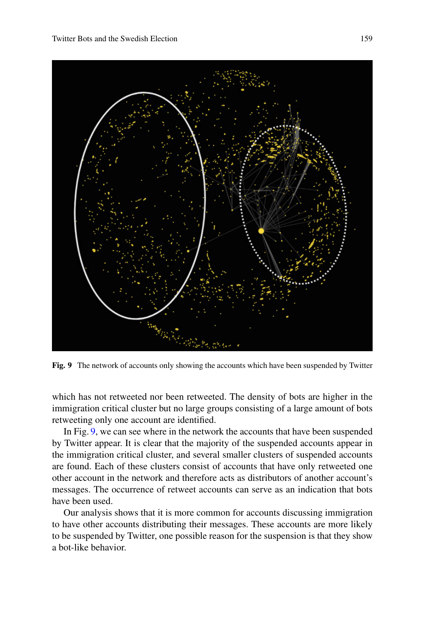

**Fig. 9** The network of accounts only showing the accounts which have been suspended by Twitter

which has not retweeted nor been retweeted. The density of bots are higher in the immigration critical cluster but no large groups consisting of a large amount of bots retweeting only one account are identified.

In Fig. 9, we can see where in the network the accounts that have been suspended by Twitter appear. It is clear that the majority of the suspended accounts appear in the immigration critical cluster, and several smaller clusters of suspended accounts are found. Each of these clusters consist of accounts that have only retweeted one other account in the network and therefore acts as distributors of another account's messages. The occurrence of retweet accounts can serve as an indication that bots have been used.

Our analysis shows that it is more common for accounts discussing immigration to have other accounts distributing their messages. These accounts are more likely to be suspended by Twitter, one possible reason for the suspension is that they show a bot-like behavior.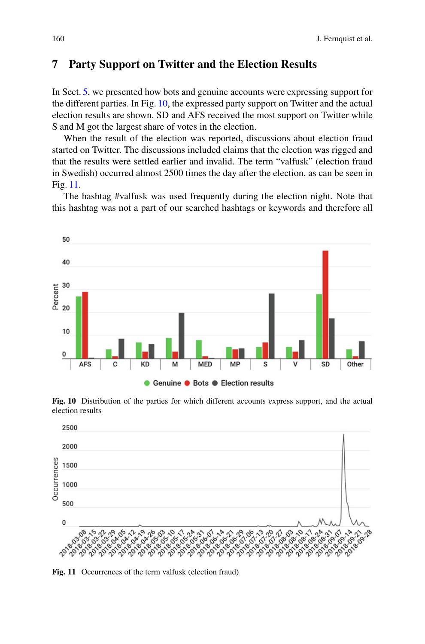## **7 Party Support on Twitter and the Election Results**

In Sect. 5, we presented how bots and genuine accounts were expressing support for the different parties. In Fig. 10, the expressed party support on Twitter and the actual election results are shown. SD and AFS received the most support on Twitter while S and M got the largest share of votes in the election.

When the result of the election was reported, discussions about election fraud started on Twitter. The discussions included claims that the election was rigged and that the results were settled earlier and invalid. The term "valfusk" (election fraud in Swedish) occurred almost 2500 times the day after the election, as can be seen in Fig. 11.

The hashtag #valfusk was used frequently during the election night. Note that this hashtag was not a part of our searched hashtags or keywords and therefore all



**Fig. 10** Distribution of the parties for which different accounts express support, and the actual election results



Fig. 11 Occurrences of the term valfusk (election fraud)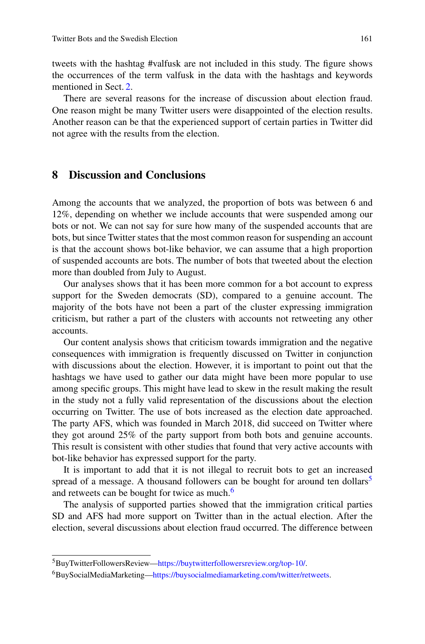tweets with the hashtag #valfusk are not included in this study. The figure shows the occurrences of the term valfusk in the data with the hashtags and keywords mentioned in Sect. 2.

There are several reasons for the increase of discussion about election fraud. One reason might be many Twitter users were disappointed of the election results. Another reason can be that the experienced support of certain parties in Twitter did not agree with the results from the election.

#### **8 Discussion and Conclusions**

Among the accounts that we analyzed, the proportion of bots was between 6 and 12%, depending on whether we include accounts that were suspended among our bots or not. We can not say for sure how many of the suspended accounts that are bots, but since Twitter states that the most common reason for suspending an account is that the account shows bot-like behavior, we can assume that a high proportion of suspended accounts are bots. The number of bots that tweeted about the election more than doubled from July to August.

Our analyses shows that it has been more common for a bot account to express support for the Sweden democrats (SD), compared to a genuine account. The majority of the bots have not been a part of the cluster expressing immigration criticism, but rather a part of the clusters with accounts not retweeting any other accounts.

Our content analysis shows that criticism towards immigration and the negative consequences with immigration is frequently discussed on Twitter in conjunction with discussions about the election. However, it is important to point out that the hashtags we have used to gather our data might have been more popular to use among specific groups. This might have lead to skew in the result making the result in the study not a fully valid representation of the discussions about the election occurring on Twitter. The use of bots increased as the election date approached. The party AFS, which was founded in March 2018, did succeed on Twitter where they got around 25% of the party support from both bots and genuine accounts. This result is consistent with other studies that found that very active accounts with bot-like behavior has expressed support for the party.

It is important to add that it is not illegal to recruit bots to get an increased spread of a message. A thousand followers can be bought for around ten dollars<sup>5</sup> and retweets can be bought for twice as much.<sup>6</sup>

The analysis of supported parties showed that the immigration critical parties SD and AFS had more support on Twitter than in the actual election. After the election, several discussions about election fraud occurred. The difference between

<sup>5</sup>BuyTwitterFollowersReview[—https://buytwitterfollowersreview.org/top-10/.](https://buytwitterfollowersreview.org/top-10/)

<sup>6</sup>BuySocialMediaMarketing[—https://buysocialmediamarketing.com/twitter/retweets.](https://buysocialmediamarketing.com/twitter/ retweets)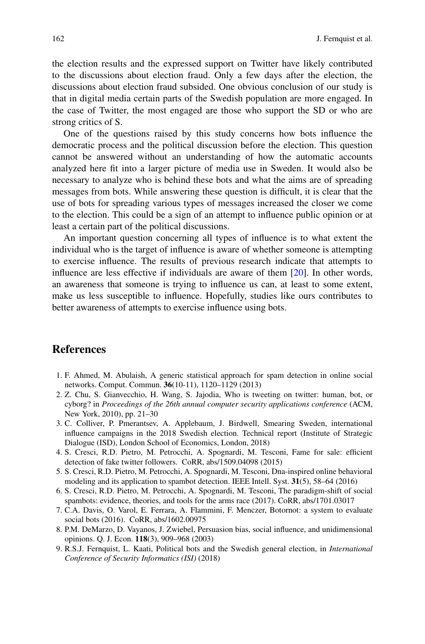the election results and the expressed support on Twitter have likely contributed to the discussions about election fraud. Only a few days after the election, the discussions about election fraud subsided. One obvious conclusion of our study is that in digital media certain parts of the Swedish population are more engaged. In the case of Twitter, the most engaged are those who support the SD or who are strong critics of S.

One of the questions raised by this study concerns how bots influence the democratic process and the political discussion before the election. This question cannot be answered without an understanding of how the automatic accounts analyzed here fit into a larger picture of media use in Sweden. It would also be necessary to analyze who is behind these bots and what the aims are of spreading messages from bots. While answering these question is difficult, it is clear that the use of bots for spreading various types of messages increased the closer we come to the election. This could be a sign of an attempt to influence public opinion or at least a certain part of the political discussions.

An important question concerning all types of influence is to what extent the individual who is the target of influence is aware of whether someone is attempting to exercise influence. The results of previous research indicate that attempts to influence are less effective if individuals are aware of them [20]. In other words, an awareness that someone is trying to influence us can, at least to some extent, make us less susceptible to influence. Hopefully, studies like ours contributes to better awareness of attempts to exercise influence using bots.

## **References**

- 1. F. Ahmed, M. Abulaish, A generic statistical approach for spam detection in online social networks. Comput. Commun. **36**(10-11), 1120–1129 (2013)
- 2. Z. Chu, S. Gianvecchio, H. Wang, S. Jajodia, Who is tweeting on twitter: human, bot, or cyborg? in *Proceedings of the 26th annual computer security applications conference* (ACM, New York, 2010), pp. 21–30
- 3. C. Colliver, P. Pmerantsev, A. Applebaum, J. Birdwell, Smearing Sweden, international influence campaigns in the 2018 Swedish election. Technical report (Institute of Strategic Dialogue (ISD), London School of Economics, London, 2018)
- 4. S. Cresci, R.D. Pietro, M. Petrocchi, A. Spognardi, M. Tesconi, Fame for sale: efficient detection of fake twitter followers. CoRR, abs/1509.04098 (2015)
- 5. S. Cresci, R.D. Pietro, M. Petrocchi, A. Spognardi, M. Tesconi, Dna-inspired online behavioral modeling and its application to spambot detection. IEEE Intell. Syst. **31**(5), 58–64 (2016)
- 6. S. Cresci, R.D. Pietro, M. Petrocchi, A. Spognardi, M. Tesconi, The paradigm-shift of social spambots: evidence, theories, and tools for the arms race (2017). CoRR, abs/1701.03017
- 7. C.A. Davis, O. Varol, E. Ferrara, A. Flammini, F. Menczer, Botornot: a system to evaluate social bots (2016). CoRR, abs/1602.00975
- 8. P.M. DeMarzo, D. Vayanos, J. Zwiebel, Persuasion bias, social influence, and unidimensional opinions. Q. J. Econ. **118**(3), 909–968 (2003)
- 9. R.S.J. Fernquist, L. Kaati, Political bots and the Swedish general election, in *International Conference of Security Informatics (ISI)* (2018)